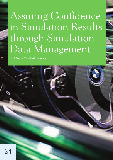# Assuring Confidence in Simulation Results through Simulation Data Management

Mark Norris, The SDM Consultancy

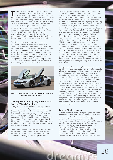The first Simulation Data Management solution built<br>on a commercial SDM platform was implemented<br>to assure the quality of simulation results for multion a commercial SDM platform was implemented to assure the quality of simulation results for multimillion \$ business decisions. Back in the year 2000, BMW had taken a lead in developing crash simulation methods that were sufficiently accurate to replace physical testing. Dr Holzner asserted that an information system was needed to assure the quality of results and provide appropriate governance for a product development process that used simulation-based experimentation. The two key SDM capabilities deployed were the automated recording of the Audit Trail and the management of digital complexity, providing confidence that the simulation was run on the correct data files.

This SDM solution was implemented to support a simulation process that was already defined and validated to assure the quality of results. However, the last fifteen years has seen dramatic advances in product technology, for example the usage of new materials especially Carbon Fibre Reinforced Plastic (CFRP), see figure 1, in passenger cars and commercial aircraft, as well as in simulation technology. Simulation Data Management platforms have not just kept up, but have been used as the platforms for process and technique development, verification and validation.



Figure 1: BMW's revolutionary i8 Hybrid CFRP sports car, 6000 simulations on the SDM platform

# **Assuring Simulation Quality in the Face of Extreme Digital Complexity**

Clearly an SDM solution can't make value judgments about the quality of work, it's just a sophisticated database. What SDM can do is to assure that the right data is used. This is no trivial task when 400 engineers are performing experiments on 50 virtual vehicle prototypes, ref 1. There is wide recognition that manual management of files in folder structures and shared drives is no longer up to the task of tracking data-sets of many hundreds of mesh files through simulations for a hundred design iterations.

Digital complexity has expanded beyond geometry data to materials definitions, fastening methods as well as thickness and residual stress distributions from the sheet metal stamping process. The proliferation of

material types in use in a passenger car; pressed, cast and extruded aluminium, hot and cold formed steel and now glass- and carbon-fiber reinforced composites, requires each meshed component to be associated with the correct material model file. These new structural materials have led to an ever widening range of fastening methods, 64 at the last count, ref 2, to add these further layers of complexity to the file management problem. This scale of the problem is not limited to Automotive and Aerospace OEMs. Christophe LeMaitre cited the 2000 analyses necessary to assure the quality and fitness for purpose of a set of car seats in his presentation of Faurecia's Simulation and Test Data Management systems, ref 3. Steve Howell of Abercus, in an article in the April edition of this magazine, described how an SPDM solution for CFD assured quality and saved the engineers time by setting up individual simulations, launching runs and then collating the CFD predictions in the SDM database. He explained that SDM enhanced the success of applying CFD on an HPC because of the large numbers of simulations needed, hundreds to thousands, for probabilistic explosion assessments for the oil and gas industry, ref 4. It's interesting that both Faurecia and Abercus developed their own SDM solutions in-house to save engineers time managing a large number of similar simulations.

File system privileges are simply inadequate to assure confidence in today's simulation environments, especially where method development is proceeding in parallel with product development. A cautionary tale concerns a simulation run to refine a material model for vehicle engineering. This promising novel approach proved not to be representative of the material behaviour. Unfortunately the material file, which had the same name as the standard material model, was left on a shared drive and used for every subsequent product simulation. The company then complained to their FEA supplier that their code was giving erroneous results. It took a week for an expert engineer to find the cause of the problem and identify that it was a rogue file. During which time all the HPC runs on products incorporating this material were compromised. Fit-for-purpose version and configuration control has long been a necessity for the simulation domain and it's not deliverable without an appropriate information system.

# **Beyond Version Control**

File version control incorporating an approval workflow and the replication of files are basic capabilities of any fitfor-purpose SDM solution. But the challenges of Simulation Governance extend way beyond file management which, though a serious and visible issue, is actually the simplest to solve. Simulation is a multistage engineering process. It needs to be planned methodically, ref 5. Consistent modelling and discretisation decisions need to be made. All this metadata, together with the relevant data sets for each iteration, need to be recorded with the minimum overhead on the analyst. Sylvain Castellani of Peugeot-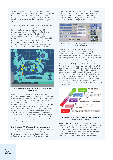Citroen commented that an SDM solution was being implemented to replace their existing content manager to address the number one question that engineering managers ask simulation engineers: "How did you validate this simulation result for that vehicle program", ref 6.

The capability of an SDM solution to capture meta-data and then to provide interactive, web browser access to the audit trail of any set of results is invaluable for generating confidence in simulation results. This is especially valuable when the work is being done remotely, which otherwise can require as much as one supervisor for three remote engineers. SDM can provide a project supervisor with a dashboard showing how simulations are progressing. He can directly access information on Work In Progress (WIP), reassuring him on project progress or flagging up areas of concern.



Figure 2: Plot showing element distortions to characterise mesh quality

As well as capturing metadata, SDM can be used to launch programmatic quality checks, display quality plots for review and then store them with approved mesh files. Thorsten Pohl of GM Europe described how the mesh management functions of TeamCenter had been extended to provide interactive access to quantitative and visual Quality Criteria of Finite Element meshes of automotive CAD models, see figure 2, ref 7. The aim of this project was to save time and money by eliminating re-meshing of already meshed parts when a further analysis was to be performed on a different site. Analysts were reticent to use meshes created elsewhere until they could readily see quantitative quality indicators and be assured of the quality of the mesh.

# **Verification, Validation, Industrialisation**

For simulation to come of age as an industrial process in a particular domain, processes need to be captured, documented, refined, verified and validated. This is particularly important when testing is impractical, such

as in nuclear industries or for large scale CFD, or where new product architectures, such as the CFRP i8, are being developed. Dr Dirschmidt described BMW's stepwise Validation strategy in his keynote to the NAFEMS 2015 World Congress ref 8, see figure 3.



Figure 3: Interaction of testing and simulation for method validation at BMW

Other technical domains have already encountered the need to move from heroic individual efforts by a few specialists to repeatable, defined and managed processes to assure the quality of results. In particular, process improvement in Software Engineering, Systems Engineering and Integrated Product Development have been addressed by an approach called the Capability Maturity Model (CMM), originally developed at Carnegie-Mellon University's Software Engineering Institute. CMM was sponsored by the US Department of Defense, which wished to achieve more reliable and fit-for-purpose weapons system, but has found widespread civilian use. This has been refined over two decades into CMMI, see figure 4, and a wealth of know-how, guides, case studies and checklists are available, ref 9. Dr Joe Luxmore of Siemens PLM proposed an SPDM-specific 5 stage maturity model for SPDM in his paper to the NAFEMS UK conference, ref 10.



### Figure 4: The Capability Maturity Model (CMMI) approach to delivering assured results

Being at level 1 as a Simulation group is not in itself "bad", the majority of clinical consultants are there also and we rely on them for our health. It's a function of the difficulty of the tasks performed and the duration of the learning process to become a competent practitioner. Here, programs like NAFEMS Professional Simulation Engineer(PSE) accreditation are valuable since the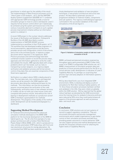practitioner is relied upon for the validity of the result. The implementation of Best Practice processes such as "How to plan a CFD analysis", ref 5, and the NAFEMS Quality Systems Supplement (QSS008) ref 11 combined with appropriate SDM technology provide a route for simulation groups to move to Level 2 and beyond. Level 3 requires formal version control which can't realistically be achieved using file system permissions but in the 21st century it would be aberrant to embark on such a global process improvement initiative without an information system to underpin it.

A recent SDM project in the nuclear industry addresses the issues of Verification and Validation. Chetwynd & Nurbhai of the UK AWE described a custom implementation of NAFEMS QSS001 process implemented as a workflow in their PLM system, ref 12. The workflow they had developed enables engineers to record assumptions, approximations and decisions, provides version and configuration control of documents and a link to the archived results. It replaces a paper document which required 17 ink signatures. Best Practice processes and xLM technology have been combined to build a system to record the process steps, approvals and information gathered to verify the codes and validate the results. AWE typically deals with unique problems which can't be tested, such as risks in transporting nuclear weapons, so a rigorous digital verification and validation process and formal version control of key data-files are essential components of their Governance approach. .

Verification is a subject where SDM is ideally placed to help. The test data-sets, test conditions and expected results can all be stored in the SDM together with documents describing the mathematical basis for the methods. This information can then be accessed by anyone concerned about the verification of the code. Subsequently, verification tests of new software versions or models can be run with just a few mouse clicks and compared with previous results. And without the risk of leaving in-development methods on a production server! SDM is therefore a good platform for methods development. The progress of the validity of the method under development can be tracked and displayed in a dashboard.

# **Supporting Method Development**

Dr Ferdinand Dirschmid presented the advanced simulation methods developed on the BMW SDM platform for the functional development of the BMW i8 hybrid sports car. The i8 is the first example of a new product architecture with a Carbon Fibre Reinforced Plastic Body In White (BIW), ref 8, which is produced in a new, entirely automated, CFRP body shop, with front and rear aluminium structures for energy absorption. He commented that SDM has been essential to enable the

timely development and validation of new simulation techniques, a new product architecture and a first new product. He described a systematic process of progressive validation of material models, components and sub-systems. This rigorous methodological approach culminated in the successful validation of the crash simulations of the i8 see figure 5.

# **FUNCTIONAL DESIGN.**<br>SIDECRASH ECE-R95.



Figure 5: Validation of simulation models of side test crash simulation of the i8

BMW's achieved and planned simulation engineering throughput gains were presented at NWC13 after their move to an SDM2.0 configurable SDM solution set, ref 1. BMW's measurement of simulation program data and prediction of future process performance for the 50 or so virtual vehicles under development is indicative of Level 5 Capability Maturity. It's perhaps un-surprising that process rigor and early adoption of information systems go together.

McCoy described Ford's use of an integrated SDM environment, VDSS, to develop and deploy a suite of simulations for Roll-Over testing of safety systems, ref 13. Once these simulation processes had been verified and validated in the USA, they were rolled out globally within the SDM solution. McCoy reported that the global rollout had been accelerated by the SDM environment since the training times for analysts to become proficient were reduced by 50% since they could easily browse all aspects of the process approach as well as previous data- and result-sets.

# **Conclusion**

In conclusion, SDM solutions are not just systems of record to support regulatory compliance. They are structured information and process management environments which enable organisations to gain better control of their simulation processes and data thus providing greater assurance in results delivered. SDM can also support process and method development and provide the necessary infrastructure for attaining the higher levels of Capability Maturity.